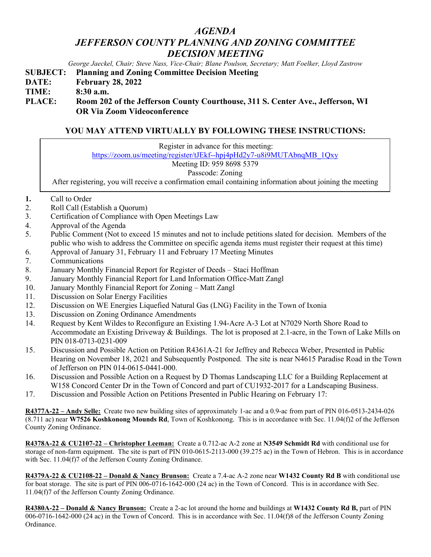## *AGENDA JEFFERSON COUNTY PLANNING AND ZONING COMMITTEE DECISION MEETING*

*George Jaeckel, Chair; Steve Nass, Vice-Chair; Blane Poulson, Secretary; Matt Foelker, Lloyd Zastrow*

**SUBJECT: Planning and Zoning Committee Decision Meeting**

**DATE: February 28, 2022**

**TIME: 8:30 a.m.**

**PLACE: Room 202 of the Jefferson County Courthouse, 311 S. Center Ave., Jefferson, WI OR Via Zoom Videoconference**

## **YOU MAY ATTEND VIRTUALLY BY FOLLOWING THESE INSTRUCTIONS:**

Register in advance for this meeting:

[https://zoom.us/meeting/register/tJEkf--hpj4pHd2y7-u8i9MUTAbnqMB\\_1Qxy](https://zoom.us/meeting/register/tJEkf--hpj4pHd2y7-u8i9MUTAbnqMB_1Qxy)

Meeting ID: 959 8698 5379

## Passcode: Zoning

After registering, you will receive a confirmation email containing information about joining the meeting

- **1.** Call to Order
- 2. Roll Call (Establish a Quorum)
- 3. Certification of Compliance with Open Meetings Law
- 4. Approval of the Agenda
- 5. Public Comment (Not to exceed 15 minutes and not to include petitions slated for decision. Members of the public who wish to address the Committee on specific agenda items must register their request at this time)
- 6. Approval of January 31, February 11 and February 17 Meeting Minutes
- 7. Communications
- 8. January Monthly Financial Report for Register of Deeds Staci Hoffman
- 9. January Monthly Financial Report for Land Information Office-Matt Zangl
- 10. January Monthly Financial Report for Zoning Matt Zangl
- 11. Discussion on Solar Energy Facilities
- 12. Discussion on WE Energies Liquefied Natural Gas (LNG) Facility in the Town of Ixonia
- 13. Discussion on Zoning Ordinance Amendments
- 14. Request by Kent Wildes to Reconfigure an Existing 1.94-Acre A-3 Lot at N7029 North Shore Road to Accommodate an Existing Driveway & Buildings. The lot is proposed at 2.1-acre, in the Town of Lake Mills on PIN 018-0713-0231-009
- 15. Discussion and Possible Action on Petition R4361A-21 for Jeffrey and Rebecca Weber, Presented in Public Hearing on November 18, 2021 and Subsequently Postponed. The site is near N4615 Paradise Road in the Town of Jefferson on PIN 014-0615-0441-000.
- 16. Discussion and Possible Action on a Request by D Thomas Landscaping LLC for a Building Replacement at W158 Concord Center Dr in the Town of Concord and part of CU1932-2017 for a Landscaping Business.
- 17. Discussion and Possible Action on Petitions Presented in Public Hearing on February 17:

**R4377A-22 – Andy Selle:** Create two new building sites of approximately 1-ac and a 0.9-ac from part of PIN 016-0513-2434-026 (8.711 ac) near **W7526 Koshkonong Mounds Rd**, Town of Koshkonong. This is in accordance with Sec. 11.04(f)2 of the Jefferson County Zoning Ordinance.

**R4378A-22 & CU2107-22 – Christopher Leeman:** Create a 0.712-ac A-2 zone at **N3549 Schmidt Rd** with conditional use for storage of non-farm equipment. The site is part of PIN 010-0615-2113-000 (39.275 ac) in the Town of Hebron. This is in accordance with Sec. 11.04(f)7 of the Jefferson County Zoning Ordinance.

**R4379A-22 & CU2108-22 – Donald & Nancy Brunson:** Create a 7.4-ac A-2 zone near **W1432 County Rd B** with conditional use for boat storage. The site is part of PIN 006-0716-1642-000 (24 ac) in the Town of Concord. This is in accordance with Sec. 11.04(f)7 of the Jefferson County Zoning Ordinance.

**R4380A-22 – Donald & Nancy Brunson:** Create a 2-ac lot around the home and buildings at **W1432 County Rd B,** part of PIN 006-0716-1642-000 (24 ac) in the Town of Concord. This is in accordance with Sec. 11.04(f)8 of the Jefferson County Zoning Ordinance.